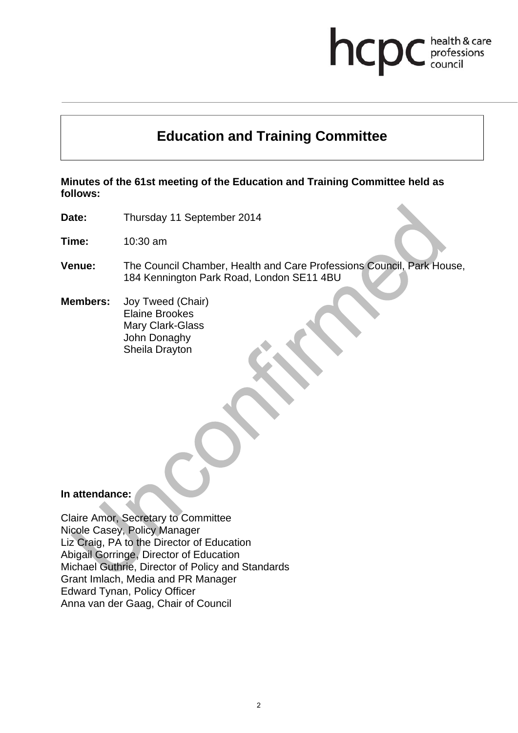# hcp health & care professions<br>council

# **Education and Training Committee**

**Minutes of the 61st meeting of the Education and Training Committee held as follows:** 

**Date:** Thursday 11 September 2014

**Time:** 10:30 am

**Venue:** The Council Chamber, Health and Care Professions Council, Park House, 184 Kennington Park Road, London SE11 4BU

**Members:** Joy Tweed (Chair) Elaine Brookes Mary Clark-Glass John Donaghy Sheila Drayton

#### **In attendance:**

Claire Amor, Secretary to Committee Nicole Casey, Policy Manager Liz Craig, PA to the Director of Education Abigail Gorringe, Director of Education Michael Guthrie, Director of Policy and Standards Grant Imlach, Media and PR Manager Edward Tynan, Policy Officer Anna van der Gaag, Chair of Council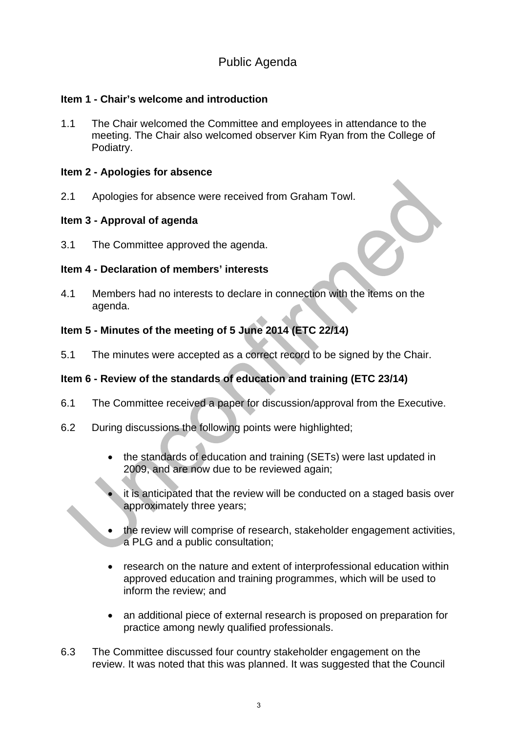# Public Agenda

### **Item 1 - Chair's welcome and introduction**

1.1 The Chair welcomed the Committee and employees in attendance to the meeting. The Chair also welcomed observer Kim Ryan from the College of Podiatry.

#### **Item 2 - Apologies for absence**

2.1 Apologies for absence were received from Graham Towl.

#### **Item 3 - Approval of agenda**

3.1 The Committee approved the agenda.

#### **Item 4 - Declaration of members' interests**

4.1 Members had no interests to declare in connection with the items on the agenda.

### **Item 5 - Minutes of the meeting of 5 June 2014 (ETC 22/14)**

5.1 The minutes were accepted as a correct record to be signed by the Chair.

### **Item 6 - Review of the standards of education and training (ETC 23/14)**

- 6.1 The Committee received a paper for discussion/approval from the Executive.
- 6.2 During discussions the following points were highlighted;
	- the standards of education and training (SETs) were last updated in 2009, and are now due to be reviewed again;
	- it is anticipated that the review will be conducted on a staged basis over approximately three years;
	- the review will comprise of research, stakeholder engagement activities, a PLG and a public consultation;
	- research on the nature and extent of interprofessional education within approved education and training programmes, which will be used to inform the review; and
	- an additional piece of external research is proposed on preparation for practice among newly qualified professionals.
- 6.3 The Committee discussed four country stakeholder engagement on the review. It was noted that this was planned. It was suggested that the Council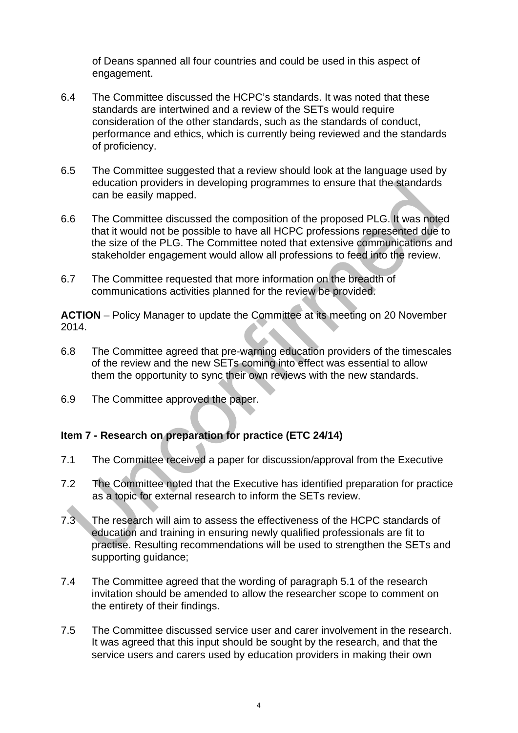of Deans spanned all four countries and could be used in this aspect of engagement.

- 6.4 The Committee discussed the HCPC's standards. It was noted that these standards are intertwined and a review of the SETs would require consideration of the other standards, such as the standards of conduct, performance and ethics, which is currently being reviewed and the standards of proficiency.
- 6.5 The Committee suggested that a review should look at the language used by education providers in developing programmes to ensure that the standards can be easily mapped.
- 6.6 The Committee discussed the composition of the proposed PLG. It was noted that it would not be possible to have all HCPC professions represented due to the size of the PLG. The Committee noted that extensive communications and stakeholder engagement would allow all professions to feed into the review.
- 6.7 The Committee requested that more information on the breadth of communications activities planned for the review be provided.

**ACTION** – Policy Manager to update the Committee at its meeting on 20 November 2014.

- 6.8 The Committee agreed that pre-warning education providers of the timescales of the review and the new SETs coming into effect was essential to allow them the opportunity to sync their own reviews with the new standards.
- 6.9 The Committee approved the paper.

# **Item 7 - Research on preparation for practice (ETC 24/14)**

- 7.1 The Committee received a paper for discussion/approval from the Executive
- 7.2 The Committee noted that the Executive has identified preparation for practice as a topic for external research to inform the SETs review.
- 7.3 The research will aim to assess the effectiveness of the HCPC standards of education and training in ensuring newly qualified professionals are fit to practise. Resulting recommendations will be used to strengthen the SETs and supporting guidance;
- 7.4 The Committee agreed that the wording of paragraph 5.1 of the research invitation should be amended to allow the researcher scope to comment on the entirety of their findings.
- 7.5 The Committee discussed service user and carer involvement in the research. It was agreed that this input should be sought by the research, and that the service users and carers used by education providers in making their own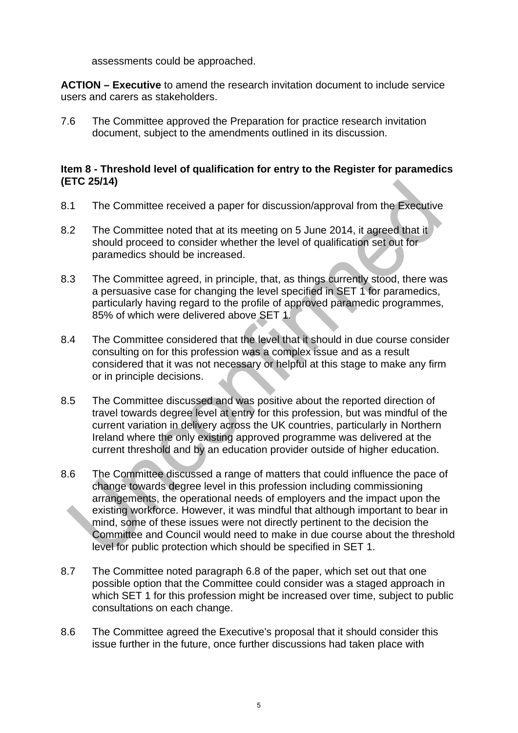assessments could be approached.

**ACTION – Executive** to amend the research invitation document to include service users and carers as stakeholders.

7.6 The Committee approved the Preparation for practice research invitation document, subject to the amendments outlined in its discussion.

#### **Item 8 - Threshold level of qualification for entry to the Register for paramedics (ETC 25/14)**

- 8.1 The Committee received a paper for discussion/approval from the Executive
- 8.2 The Committee noted that at its meeting on 5 June 2014, it agreed that it should proceed to consider whether the level of qualification set out for paramedics should be increased.
- 8.3 The Committee agreed, in principle, that, as things currently stood, there was a persuasive case for changing the level specified in SET 1 for paramedics, particularly having regard to the profile of approved paramedic programmes, 85% of which were delivered above SET 1.
- 8.4 The Committee considered that the level that it should in due course consider consulting on for this profession was a complex issue and as a result considered that it was not necessary or helpful at this stage to make any firm or in principle decisions.
- 8.5 The Committee discussed and was positive about the reported direction of travel towards degree level at entry for this profession, but was mindful of the current variation in delivery across the UK countries, particularly in Northern Ireland where the only existing approved programme was delivered at the current threshold and by an education provider outside of higher education.
- 8.6 The Committee discussed a range of matters that could influence the pace of change towards degree level in this profession including commissioning arrangements, the operational needs of employers and the impact upon the existing workforce. However, it was mindful that although important to bear in mind, some of these issues were not directly pertinent to the decision the Committee and Council would need to make in due course about the threshold level for public protection which should be specified in SET 1.
- 8.7 The Committee noted paragraph 6.8 of the paper, which set out that one possible option that the Committee could consider was a staged approach in which SET 1 for this profession might be increased over time, subject to public consultations on each change.
- 8.6 The Committee agreed the Executive's proposal that it should consider this issue further in the future, once further discussions had taken place with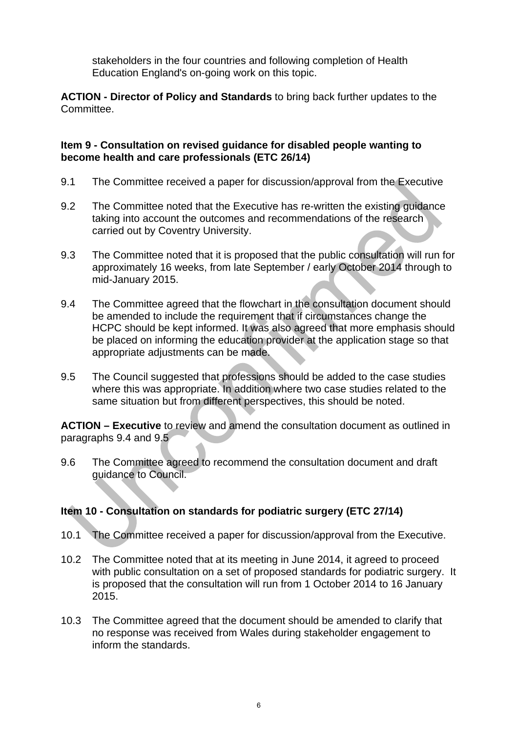stakeholders in the four countries and following completion of Health Education England's on-going work on this topic.

**ACTION - Director of Policy and Standards** to bring back further updates to the Committee.

### **Item 9 - Consultation on revised guidance for disabled people wanting to become health and care professionals (ETC 26/14)**

- 9.1 The Committee received a paper for discussion/approval from the Executive
- 9.2 The Committee noted that the Executive has re-written the existing guidance taking into account the outcomes and recommendations of the research carried out by Coventry University.
- 9.3 The Committee noted that it is proposed that the public consultation will run for approximately 16 weeks, from late September / early October 2014 through to mid-January 2015.
- 9.4 The Committee agreed that the flowchart in the consultation document should be amended to include the requirement that if circumstances change the HCPC should be kept informed. It was also agreed that more emphasis should be placed on informing the education provider at the application stage so that appropriate adjustments can be made.
- 9.5 The Council suggested that professions should be added to the case studies where this was appropriate. In addition where two case studies related to the same situation but from different perspectives, this should be noted.

**ACTION – Executive** to review and amend the consultation document as outlined in paragraphs 9.4 and 9.5

9.6 The Committee agreed to recommend the consultation document and draft guidance to Council.

# **Item 10 - Consultation on standards for podiatric surgery (ETC 27/14)**

- 10.1 The Committee received a paper for discussion/approval from the Executive.
- 10.2 The Committee noted that at its meeting in June 2014, it agreed to proceed with public consultation on a set of proposed standards for podiatric surgery. It is proposed that the consultation will run from 1 October 2014 to 16 January 2015.
- 10.3 The Committee agreed that the document should be amended to clarify that no response was received from Wales during stakeholder engagement to inform the standards.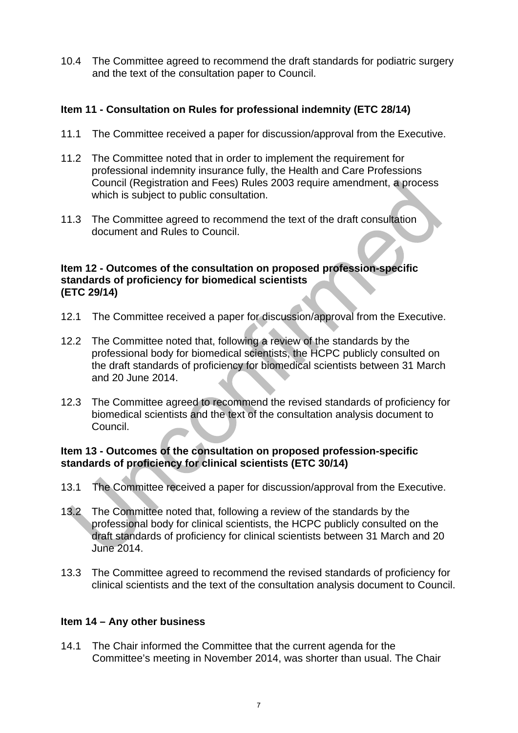10.4 The Committee agreed to recommend the draft standards for podiatric surgery and the text of the consultation paper to Council.

# **Item 11 - Consultation on Rules for professional indemnity (ETC 28/14)**

- 11.1 The Committee received a paper for discussion/approval from the Executive.
- 11.2 The Committee noted that in order to implement the requirement for professional indemnity insurance fully, the Health and Care Professions Council (Registration and Fees) Rules 2003 require amendment, a process which is subject to public consultation.
- 11.3 The Committee agreed to recommend the text of the draft consultation document and Rules to Council.

### **Item 12 - Outcomes of the consultation on proposed profession-specific standards of proficiency for biomedical scientists (ETC 29/14)**

- 12.1 The Committee received a paper for discussion/approval from the Executive.
- 12.2 The Committee noted that, following a review of the standards by the professional body for biomedical scientists, the HCPC publicly consulted on the draft standards of proficiency for biomedical scientists between 31 March and 20 June 2014.
- 12.3 The Committee agreed to recommend the revised standards of proficiency for biomedical scientists and the text of the consultation analysis document to Council.

# **Item 13 - Outcomes of the consultation on proposed profession-specific standards of proficiency for clinical scientists (ETC 30/14)**

- 13.1 The Committee received a paper for discussion/approval from the Executive.
- 13.2 The Committee noted that, following a review of the standards by the professional body for clinical scientists, the HCPC publicly consulted on the draft standards of proficiency for clinical scientists between 31 March and 20 June 2014.
- 13.3 The Committee agreed to recommend the revised standards of proficiency for clinical scientists and the text of the consultation analysis document to Council.

# **Item 14 – Any other business**

14.1 The Chair informed the Committee that the current agenda for the Committee's meeting in November 2014, was shorter than usual. The Chair